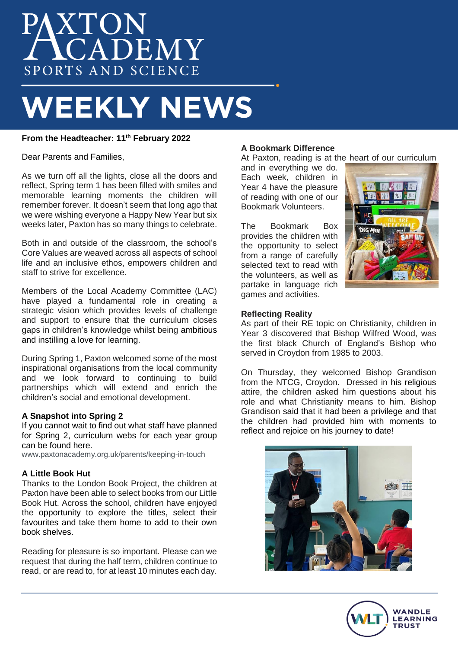# **XTON**<br>CADEMY SPORTS AND SCIENCE

# **WEEKLY NEWS**

# **From the Headteacher: 11th February 2022**

Dear Parents and Families,

As we turn off all the lights, close all the doors and reflect, Spring term 1 has been filled with smiles and memorable learning moments the children will remember forever. It doesn't seem that long ago that we were wishing everyone a Happy New Year but six weeks later, Paxton has so many things to celebrate.

Both in and outside of the classroom, the school's Core Values are weaved across all aspects of school life and an inclusive ethos, empowers children and staff to strive for excellence.

Members of the Local Academy Committee (LAC) have played a fundamental role in creating a strategic vision which provides levels of challenge and support to ensure that the curriculum closes gaps in children's knowledge whilst being ambitious and instilling a love for learning.

During Spring 1, Paxton welcomed some of the most inspirational organisations from the local community and we look forward to continuing to build partnerships which will extend and enrich the children's social and emotional development.

## **A Snapshot into Spring 2**

If you cannot wait to find out what staff have planned for Spring 2, curriculum webs for each year group can be found here.

[www.paxtonacademy.org.uk/parents/keeping-in-touch](http://www.paxtonacademy.org.uk/parents/keeping-in-touch)

#### **A Little Book Hut**

Thanks to the London Book Project, the children at Paxton have been able to select books from our Little Book Hut. Across the school, children have enjoyed the opportunity to explore the titles, select their favourites and take them home to add to their own book shelves.

Reading for pleasure is so important. Please can we request that during the half term, children continue to read, or are read to, for at least 10 minutes each day.

### **A Bookmark Difference**

At Paxton, reading is at the heart of our curriculum

and in everything we do. Each week, children in Year 4 have the pleasure of reading with one of our Bookmark Volunteers.

The Bookmark Box provides the children with the opportunity to select from a range of carefully selected text to read with the volunteers, as well as partake in language rich games and activities.



#### **Reflecting Reality**

As part of their RE topic on Christianity, children in Year 3 discovered that Bishop Wilfred Wood, was the first black Church of England's Bishop who served in Croydon from 1985 to 2003.

On Thursday, they welcomed Bishop Grandison from the NTCG, Croydon. Dressed in his religious attire, the children asked him questions about his role and what Christianity means to him. Bishop Grandison said that it had been a privilege and that the children had provided him with moments to reflect and rejoice on his journey to date!